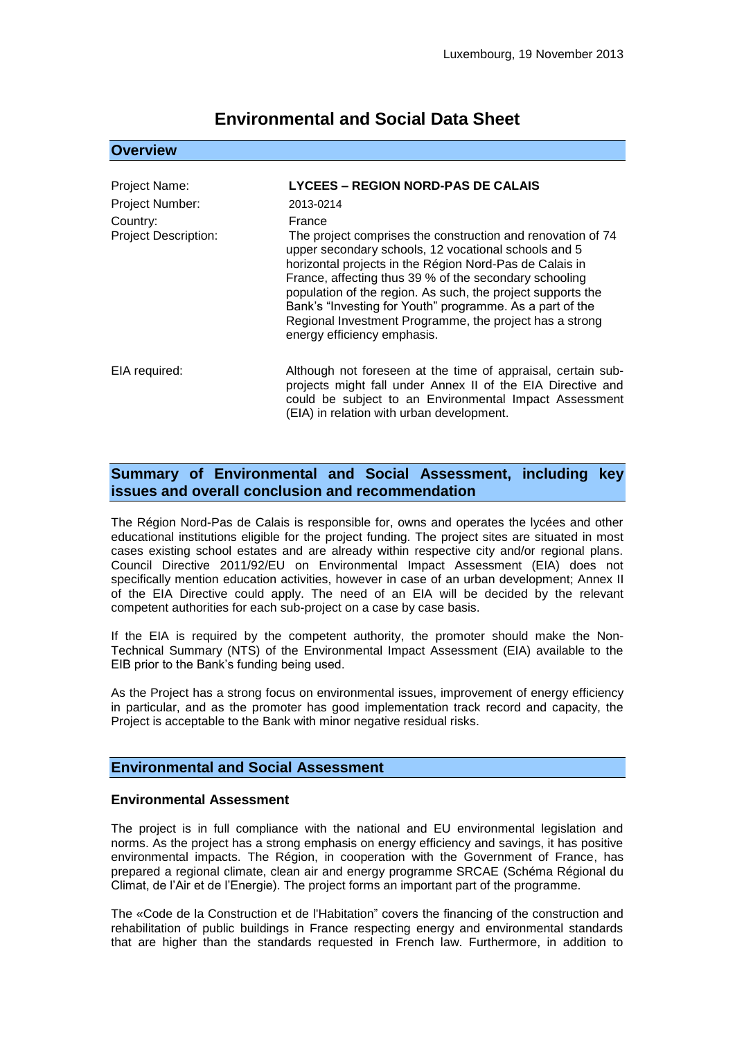# **Environmental and Social Data Sheet**

### **Overview**

| <b>Project Name:</b>                    | <b>LYCEES - REGION NORD-PAS DE CALAIS</b>                                                                                                                                                                                                                                                                                                                                                                                                                               |
|-----------------------------------------|-------------------------------------------------------------------------------------------------------------------------------------------------------------------------------------------------------------------------------------------------------------------------------------------------------------------------------------------------------------------------------------------------------------------------------------------------------------------------|
| Project Number:                         | 2013-0214                                                                                                                                                                                                                                                                                                                                                                                                                                                               |
| Country:<br><b>Project Description:</b> | France<br>The project comprises the construction and renovation of 74<br>upper secondary schools, 12 vocational schools and 5<br>horizontal projects in the Région Nord-Pas de Calais in<br>France, affecting thus 39 % of the secondary schooling<br>population of the region. As such, the project supports the<br>Bank's "Investing for Youth" programme. As a part of the<br>Regional Investment Programme, the project has a strong<br>energy efficiency emphasis. |
| EIA required:                           | Although not foreseen at the time of appraisal, certain sub-<br>projects might fall under Annex II of the EIA Directive and<br>could be subject to an Environmental Impact Assessment<br>(EIA) in relation with urban development.                                                                                                                                                                                                                                      |

# **Summary of Environmental and Social Assessment, including key issues and overall conclusion and recommendation**

The Région Nord-Pas de Calais is responsible for, owns and operates the lycées and other educational institutions eligible for the project funding. The project sites are situated in most cases existing school estates and are already within respective city and/or regional plans. Council Directive 2011/92/EU on Environmental Impact Assessment (EIA) does not specifically mention education activities, however in case of an urban development; Annex II of the EIA Directive could apply. The need of an EIA will be decided by the relevant competent authorities for each sub-project on a case by case basis.

If the EIA is required by the competent authority, the promoter should make the Non-Technical Summary (NTS) of the Environmental Impact Assessment (EIA) available to the EIB prior to the Bank's funding being used.

As the Project has a strong focus on environmental issues, improvement of energy efficiency in particular, and as the promoter has good implementation track record and capacity, the Project is acceptable to the Bank with minor negative residual risks.

## **Environmental and Social Assessment**

#### **Environmental Assessment**

The project is in full compliance with the national and EU environmental legislation and norms. As the project has a strong emphasis on energy efficiency and savings, it has positive environmental impacts. The Région, in cooperation with the Government of France, has prepared a regional climate, clean air and energy programme SRCAE (Schéma Régional du Climat, de l'Air et de l'Energie). The project forms an important part of the programme.

The «Code de la Construction et de l'Habitation" covers the financing of the construction and rehabilitation of public buildings in France respecting energy and environmental standards that are higher than the standards requested in French law. Furthermore, in addition to